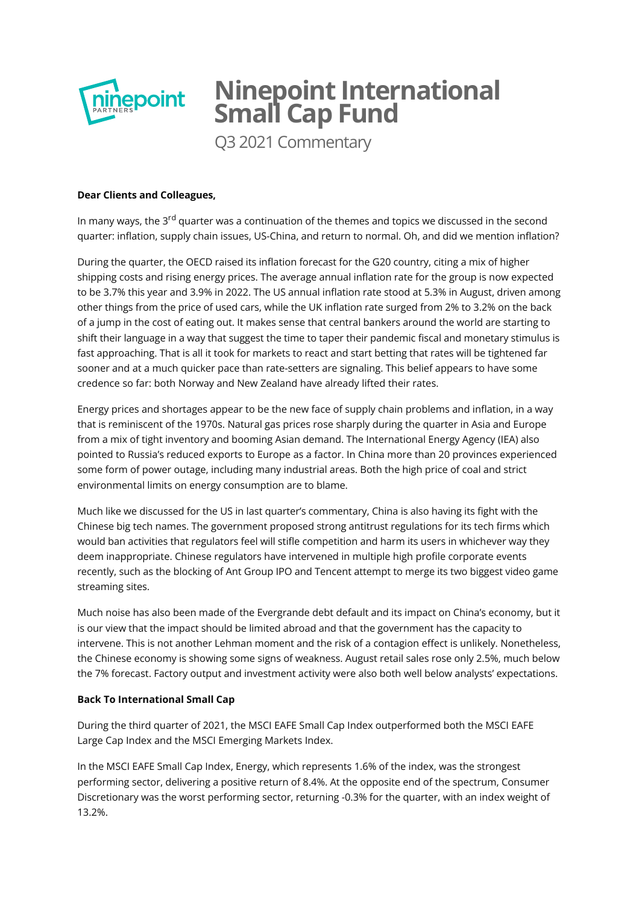

# **Ninepoint International Small Cap Fund**

Q3 2021 Commentary

## **Dear Clients and Colleagues,**

In many ways, the 3<sup>rd</sup> quarter was a continuation of the themes and topics we discussed in the second quarter: inflation, supply chain issues, US-China, and return to normal. Oh, and did we mention inflation?

During the quarter, the OECD raised its inflation forecast for the G20 country, citing a mix of higher shipping costs and rising energy prices. The average annual inflation rate for the group is now expected to be 3.7% this year and 3.9% in 2022. The US annual inflation rate stood at 5.3% in August, driven among other things from the price of used cars, while the UK inflation rate surged from 2% to 3.2% on the back of a jump in the cost of eating out. It makes sense that central bankers around the world are starting to shift their language in a way that suggest the time to taper their pandemic fiscal and monetary stimulus is fast approaching. That is all it took for markets to react and start betting that rates will be tightened far sooner and at a much quicker pace than rate-setters are signaling. This belief appears to have some credence so far: both Norway and New Zealand have already lifted their rates.

Energy prices and shortages appear to be the new face of supply chain problems and inflation, in a way that is reminiscent of the 1970s. Natural gas prices rose sharply during the quarter in Asia and Europe from a mix of tight inventory and booming Asian demand. The International Energy Agency (IEA) also pointed to Russia's reduced exports to Europe as a factor. In China more than 20 provinces experienced some form of power outage, including many industrial areas. Both the high price of coal and strict environmental limits on energy consumption are to blame.

Much like we discussed for the US in last quarter's commentary, China is also having its fight with the Chinese big tech names. The government proposed strong antitrust regulations for its tech firms which would ban activities that regulators feel will stifle competition and harm its users in whichever way they deem inappropriate. Chinese regulators have intervened in multiple high profile corporate events recently, such as the blocking of Ant Group IPO and Tencent attempt to merge its two biggest video game streaming sites.

Much noise has also been made of the Evergrande debt default and its impact on China's economy, but it is our view that the impact should be limited abroad and that the government has the capacity to intervene. This is not another Lehman moment and the risk of a contagion effect is unlikely. Nonetheless, the Chinese economy is showing some signs of weakness. August retail sales rose only 2.5%, much below the 7% forecast. Factory output and investment activity were also both well below analysts' expectations.

## **Back To International Small Cap**

During the third quarter of 2021, the MSCI EAFE Small Cap Index outperformed both the MSCI EAFE Large Cap Index and the MSCI Emerging Markets Index.

In the MSCI EAFE Small Cap Index, Energy, which represents 1.6% of the index, was the strongest performing sector, delivering a positive return of 8.4%. At the opposite end of the spectrum, Consumer Discretionary was the worst performing sector, returning -0.3% for the quarter, with an index weight of 13.2%.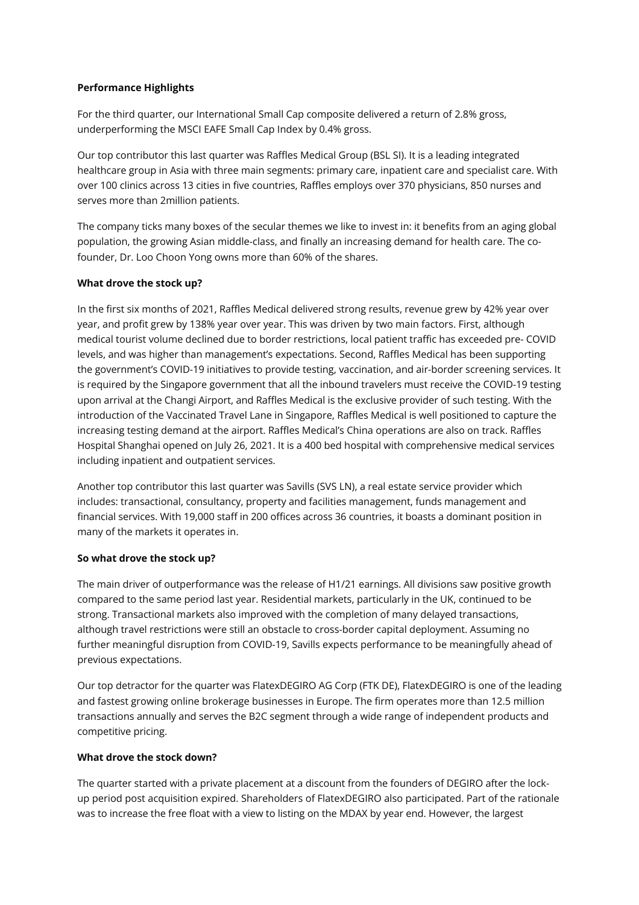## **Performance Highlights**

For the third quarter, our International Small Cap composite delivered a return of 2.8% gross, underperforming the MSCI EAFE Small Cap Index by 0.4% gross.

Our top contributor this last quarter was Raffles Medical Group (BSL SI). It is a leading integrated healthcare group in Asia with three main segments: primary care, inpatient care and specialist care. With over 100 clinics across 13 cities in five countries, Raffles employs over 370 physicians, 850 nurses and serves more than 2million patients.

The company ticks many boxes of the secular themes we like to invest in: it benefits from an aging global population, the growing Asian middle-class, and finally an increasing demand for health care. The cofounder, Dr. Loo Choon Yong owns more than 60% of the shares.

## **What drove the stock up?**

In the first six months of 2021, Raffles Medical delivered strong results, revenue grew by 42% year over year, and profit grew by 138% year over year. This was driven by two main factors. First, although medical tourist volume declined due to border restrictions, local patient traffic has exceeded pre- COVID levels, and was higher than management's expectations. Second, Raffles Medical has been supporting the government's COVID-19 initiatives to provide testing, vaccination, and air-border screening services. It is required by the Singapore government that all the inbound travelers must receive the COVID-19 testing upon arrival at the Changi Airport, and Raffles Medical is the exclusive provider of such testing. With the introduction of the Vaccinated Travel Lane in Singapore, Raffles Medical is well positioned to capture the increasing testing demand at the airport. Raffles Medical's China operations are also on track. Raffles Hospital Shanghai opened on July 26, 2021. It is a 400 bed hospital with comprehensive medical services including inpatient and outpatient services.

Another top contributor this last quarter was Savills (SVS LN), a real estate service provider which includes: transactional, consultancy, property and facilities management, funds management and financial services. With 19,000 staff in 200 offices across 36 countries, it boasts a dominant position in many of the markets it operates in.

## **So what drove the stock up?**

The main driver of outperformance was the release of H1/21 earnings. All divisions saw positive growth compared to the same period last year. Residential markets, particularly in the UK, continued to be strong. Transactional markets also improved with the completion of many delayed transactions, although travel restrictions were still an obstacle to cross-border capital deployment. Assuming no further meaningful disruption from COVID-19, Savills expects performance to be meaningfully ahead of previous expectations.

Our top detractor for the quarter was FlatexDEGIRO AG Corp (FTK DE), FlatexDEGIRO is one of the leading and fastest growing online brokerage businesses in Europe. The firm operates more than 12.5 million transactions annually and serves the B2C segment through a wide range of independent products and competitive pricing.

## **What drove the stock down?**

The quarter started with a private placement at a discount from the founders of DEGIRO after the lockup period post acquisition expired. Shareholders of FlatexDEGIRO also participated. Part of the rationale was to increase the free float with a view to listing on the MDAX by year end. However, the largest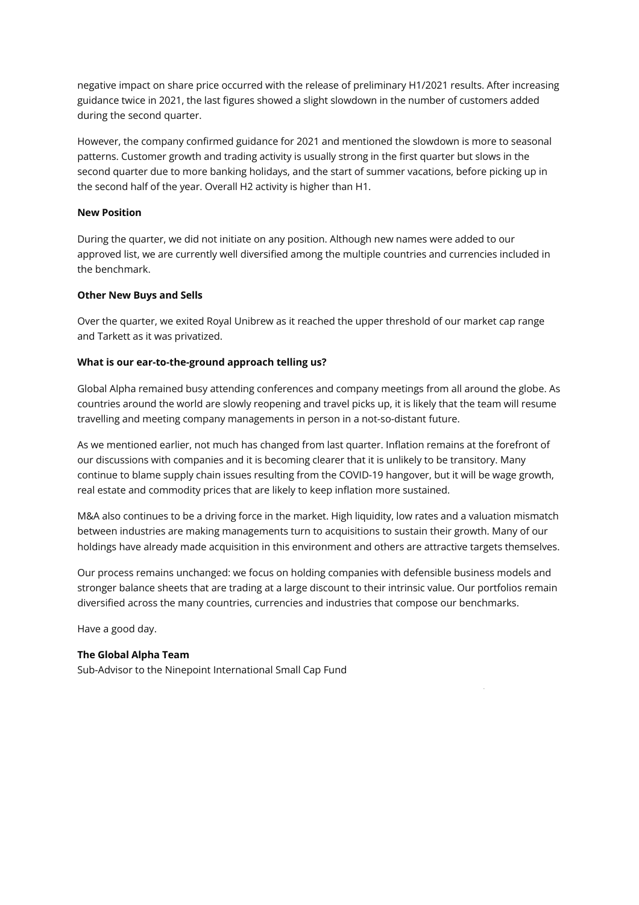negative impact on share price occurred with the release of preliminary H1/2021 results. After increasing guidance twice in 2021, the last figures showed a slight slowdown in the number of customers added during the second quarter.

However, the company confirmed guidance for 2021 and mentioned the slowdown is more to seasonal patterns. Customer growth and trading activity is usually strong in the first quarter but slows in the second quarter due to more banking holidays, and the start of summer vacations, before picking up in the second half of the year. Overall H2 activity is higher than H1.

#### **New Position**

During the quarter, we did not initiate on any position. Although new names were added to our approved list, we are currently well diversified among the multiple countries and currencies included in the benchmark.

#### **Other New Buys and Sells**

Over the quarter, we exited Royal Unibrew as it reached the upper threshold of our market cap range and Tarkett as it was privatized.

#### **What is our ear-to-the-ground approach telling us?**

Global Alpha remained busy attending conferences and company meetings from all around the globe. As countries around the world are slowly reopening and travel picks up, it is likely that the team will resume travelling and meeting company managements in person in a not-so-distant future.

As we mentioned earlier, not much has changed from last quarter. Inflation remains at the forefront of our discussions with companies and it is becoming clearer that it is unlikely to be transitory. Many continue to blame supply chain issues resulting from the COVID-19 hangover, but it will be wage growth, real estate and commodity prices that are likely to keep inflation more sustained.

M&A also continues to be a driving force in the market. High liquidity, low rates and a valuation mismatch between industries are making managements turn to acquisitions to sustain their growth. Many of our holdings have already made acquisition in this environment and others are attractive targets themselves.

Our process remains unchanged: we focus on holding companies with defensible business models and stronger balance sheets that are trading at a large discount to their intrinsic value. Our portfolios remain diversified across the many countries, currencies and industries that compose our benchmarks.

Have a good day.

## **The Global Alpha Team**

Sub-Advisor to the Ninepoint International Small Cap Fund